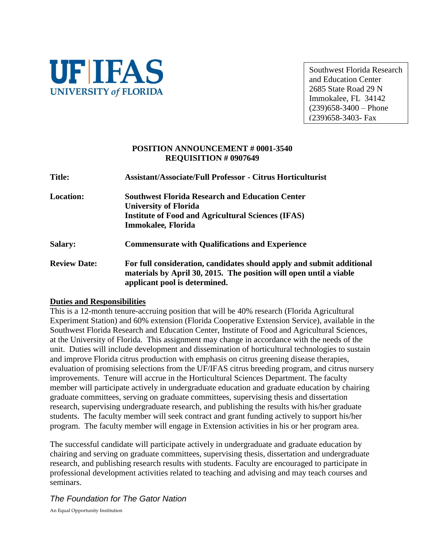

Southwest Florida Research and Education Center 2685 State Road 29 N Immokalee, FL 34142  $(239)658 - 3400 -$ Phone (239)658-3403- Fax

#### **POSITION ANNOUNCEMENT # 0001-3540 REQUISITION # 0907649**

**Title: Assistant/Associate/Full Professor - Citrus Horticulturist Location: Southwest Florida Research and Education Center University of Florida Institute of Food and Agricultural Sciences (IFAS) Immokalee***,* **Florida Salary: Commensurate with Qualifications and Experience Review Date: For full consideration, candidates should apply and submit additional materials by April 30, 2015. The position will open until a viable applicant pool is determined.**

#### **Duties and Responsibilities**

This is a 12-month tenure-accruing position that will be 40% research (Florida Agricultural Experiment Station) and 60% extension (Florida Cooperative Extension Service), available in the Southwest Florida Research and Education Center, Institute of Food and Agricultural Sciences, at the University of Florida. This assignment may change in accordance with the needs of the unit. Duties will include development and dissemination of horticultural technologies to sustain and improve Florida citrus production with emphasis on citrus greening disease therapies, evaluation of promising selections from the UF/IFAS citrus breeding program, and citrus nursery improvements. Tenure will accrue in the Horticultural Sciences Department. The faculty member will participate actively in undergraduate education and graduate education by chairing graduate committees, serving on graduate committees, supervising thesis and dissertation research, supervising undergraduate research, and publishing the results with his/her graduate students. The faculty member will seek contract and grant funding actively to support his/her program. The faculty member will engage in Extension activities in his or her program area.

The successful candidate will participate actively in undergraduate and graduate education by chairing and serving on graduate committees, supervising thesis, dissertation and undergraduate research, and publishing research results with students. Faculty are encouraged to participate in professional development activities related to teaching and advising and may teach courses and seminars.

# *The Foundation for The Gator Nation*

An Equal Opportunity Institution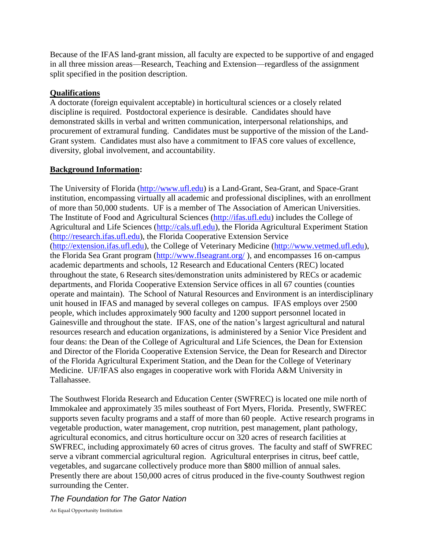Because of the IFAS land-grant mission, all faculty are expected to be supportive of and engaged in all three mission areas—Research, Teaching and Extension—regardless of the assignment split specified in the position description.

# **Qualifications**

A doctorate (foreign equivalent acceptable) in horticultural sciences or a closely related discipline is required. Postdoctoral experience is desirable. Candidates should have demonstrated skills in verbal and written communication, interpersonal relationships, and procurement of extramural funding. Candidates must be supportive of the mission of the Land-Grant system. Candidates must also have a commitment to IFAS core values of excellence, diversity, global involvement, and accountability.

## **Background Information:**

The University of Florida (http://www.ufl.edu) is a Land-Grant, Sea-Grant, and Space-Grant institution, encompassing virtually all academic and professional disciplines, with an enrollment of more than 50,000 students. UF is a member of The Association of American Universities. The Institute of Food and Agricultural Sciences (http://ifas.ufl.edu) includes the College of Agricultural and Life Sciences (http://cals.ufl.edu), the Florida Agricultural Experiment Station (http://research.ifas.ufl.edu), the Florida Cooperative Extension Service (http://extension.ifas.ufl.edu), the College of Veterinary Medicine (http://www.vetmed.ufl.edu), the Florida Sea Grant program [\(http://www.flseagrant.org/](http://www.flseagrant.org/) ), and encompasses 16 on-campus academic departments and schools, 12 Research and Educational Centers (REC) located throughout the state, 6 Research sites/demonstration units administered by RECs or academic departments, and Florida Cooperative Extension Service offices in all 67 counties (counties operate and maintain). The School of Natural Resources and Environment is an interdisciplinary unit housed in IFAS and managed by several colleges on campus. IFAS employs over 2500 people, which includes approximately 900 faculty and 1200 support personnel located in Gainesville and throughout the state. IFAS, one of the nation's largest agricultural and natural resources research and education organizations, is administered by a Senior Vice President and four deans: the Dean of the College of Agricultural and Life Sciences, the Dean for Extension and Director of the Florida Cooperative Extension Service, the Dean for Research and Director of the Florida Agricultural Experiment Station, and the Dean for the College of Veterinary Medicine. UF/IFAS also engages in cooperative work with Florida A&M University in Tallahassee.

The Southwest Florida Research and Education Center (SWFREC) is located one mile north of Immokalee and approximately 35 miles southeast of Fort Myers, Florida. Presently, SWFREC supports seven faculty programs and a staff of more than 60 people. Active research programs in vegetable production, water management, crop nutrition, pest management, plant pathology, agricultural economics, and citrus horticulture occur on 320 acres of research facilities at SWFREC, including approximately 60 acres of citrus groves. The faculty and staff of SWFREC serve a vibrant commercial agricultural region. Agricultural enterprises in citrus, beef cattle, vegetables, and sugarcane collectively produce more than \$800 million of annual sales. Presently there are about 150,000 acres of citrus produced in the five-county Southwest region surrounding the Center.

*The Foundation for The Gator Nation*

An Equal Opportunity Institution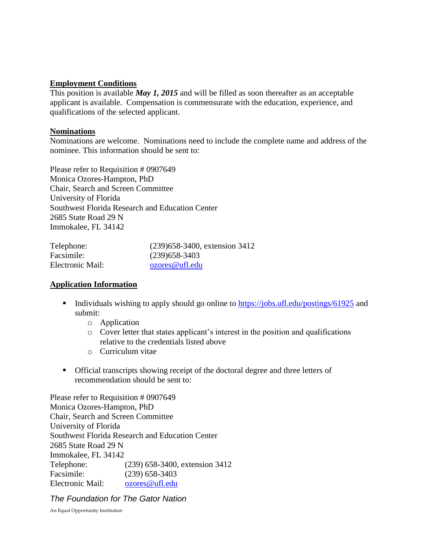### **Employment Conditions**

This position is available *May 1, 2015* and will be filled as soon thereafter as an acceptable applicant is available. Compensation is commensurate with the education, experience, and qualifications of the selected applicant.

### **Nominations**

Nominations are welcome. Nominations need to include the complete name and address of the nominee. This information should be sent to:

Please refer to Requisition # 0907649 Monica Ozores-Hampton, PhD Chair, Search and Screen Committee University of Florida Southwest Florida Research and Education Center 2685 State Road 29 N Immokalee, FL 34142

| Telephone:       | (239) 658-3400, extension 3412 |
|------------------|--------------------------------|
| Facsimile:       | $(239)$ 658-3403               |
| Electronic Mail: | ozores@ufl.edu                 |

# **Application Information**

- Individuals wishing to apply should go online to <https://jobs.ufl.edu/postings/61925> and submit:
	- o Application
	- o Cover letter that states applicant's interest in the position and qualifications relative to the credentials listed above
	- o Curriculum vitae
- Official transcripts showing receipt of the doctoral degree and three letters of recommendation should be sent to:

Please refer to Requisition # 0907649 Monica Ozores-Hampton, PhD Chair, Search and Screen Committee University of Florida Southwest Florida Research and Education Center 2685 State Road 29 N Immokalee, FL 34142 Telephone: (239) 658-3400, extension 3412 Facsimile: (239) 658-3403 Electronic Mail: [ozores@ufl.edu](mailto:ozores@ufl.edu)

*The Foundation for The Gator Nation*

An Equal Opportunity Institution